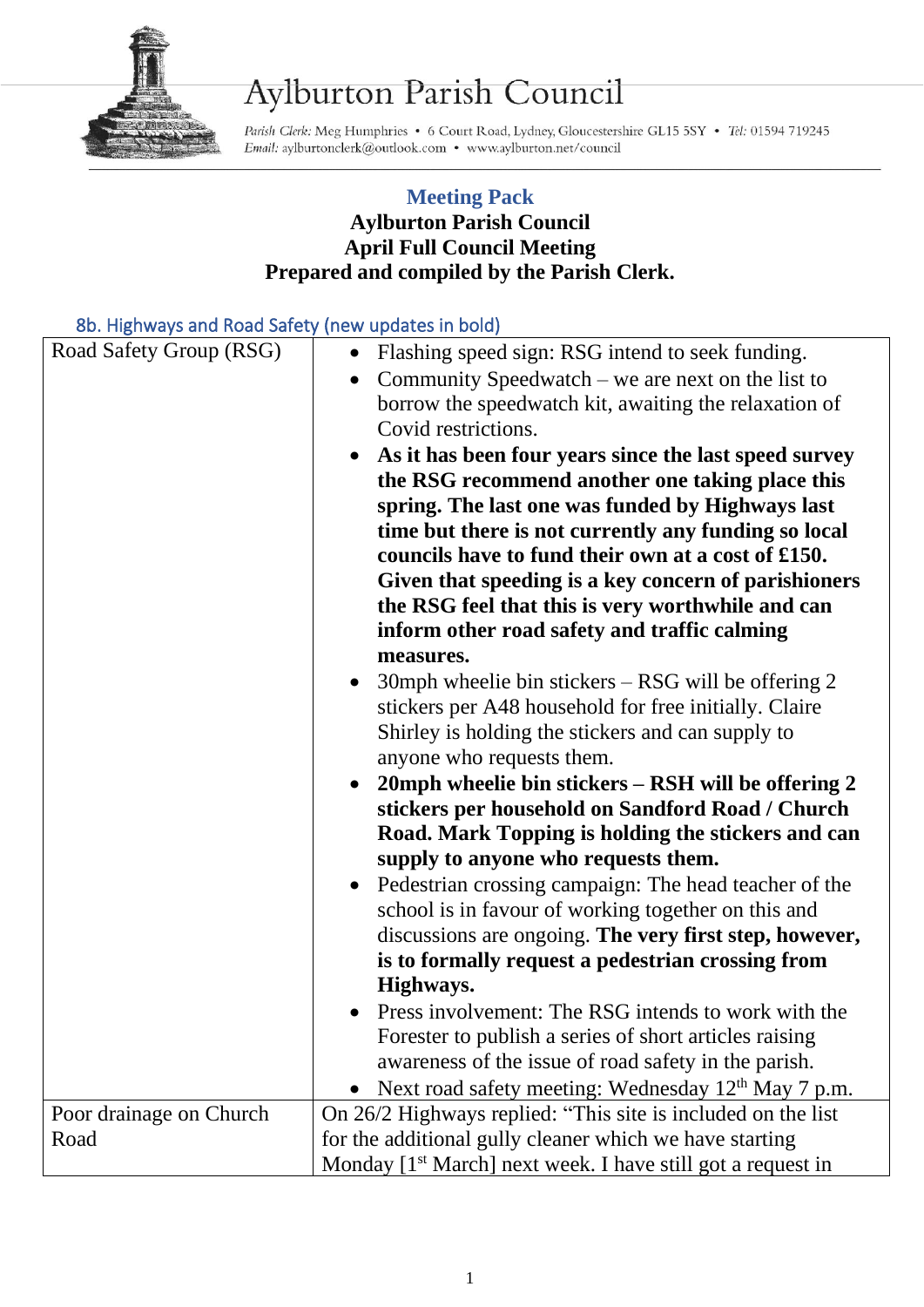

## Aylburton Parish Council

Parish Clerk: Meg Humphries . 6 Court Road, Lydney, Gloucestershire GL15 5SY . Tel: 01594 719245 Email: aylburtonclerk@outlook.com • www.aylburton.net/council

## **Meeting Pack Aylburton Parish Council April Full Council Meeting Prepared and compiled by the Parish Clerk.**

## 8b. Highways and Road Safety (new updates in bold)

| ob. Thenways and noda sarety (new apaates in bold) |                                                                                                                                                                                                                                                                                                                                                                                                                                                                                                                                                                                                                                                                                                                                                                                                                                                                                                                                                                                                                                                                                                                                                                                                                                                                                                                                                                                                                                                                                                                                                                     |
|----------------------------------------------------|---------------------------------------------------------------------------------------------------------------------------------------------------------------------------------------------------------------------------------------------------------------------------------------------------------------------------------------------------------------------------------------------------------------------------------------------------------------------------------------------------------------------------------------------------------------------------------------------------------------------------------------------------------------------------------------------------------------------------------------------------------------------------------------------------------------------------------------------------------------------------------------------------------------------------------------------------------------------------------------------------------------------------------------------------------------------------------------------------------------------------------------------------------------------------------------------------------------------------------------------------------------------------------------------------------------------------------------------------------------------------------------------------------------------------------------------------------------------------------------------------------------------------------------------------------------------|
| Road Safety Group (RSG)                            | Flashing speed sign: RSG intend to seek funding.<br>$\bullet$<br>Community Speedwatch – we are next on the list to<br>$\bullet$<br>borrow the speedwatch kit, awaiting the relaxation of<br>Covid restrictions.<br>As it has been four years since the last speed survey<br>the RSG recommend another one taking place this<br>spring. The last one was funded by Highways last<br>time but there is not currently any funding so local<br>councils have to fund their own at a cost of £150.<br>Given that speeding is a key concern of parishioners<br>the RSG feel that this is very worthwhile and can<br>inform other road safety and traffic calming<br>measures.<br>30mph wheelie bin stickers $-$ RSG will be offering 2<br>stickers per A48 household for free initially. Claire<br>Shirley is holding the stickers and can supply to<br>anyone who requests them.<br>20mph wheelie bin stickers - RSH will be offering 2<br>stickers per household on Sandford Road / Church<br>Road. Mark Topping is holding the stickers and can<br>supply to anyone who requests them.<br>Pedestrian crossing campaign: The head teacher of the<br>school is in favour of working together on this and<br>discussions are ongoing. The very first step, however,<br>is to formally request a pedestrian crossing from<br>Highways.<br>Press involvement: The RSG intends to work with the<br>Forester to publish a series of short articles raising<br>awareness of the issue of road safety in the parish.<br>• Next road safety meeting: Wednesday $12th$ May 7 p.m. |
|                                                    |                                                                                                                                                                                                                                                                                                                                                                                                                                                                                                                                                                                                                                                                                                                                                                                                                                                                                                                                                                                                                                                                                                                                                                                                                                                                                                                                                                                                                                                                                                                                                                     |
| Poor drainage on Church                            | On 26/2 Highways replied: "This site is included on the list                                                                                                                                                                                                                                                                                                                                                                                                                                                                                                                                                                                                                                                                                                                                                                                                                                                                                                                                                                                                                                                                                                                                                                                                                                                                                                                                                                                                                                                                                                        |
| Road                                               | for the additional gully cleaner which we have starting                                                                                                                                                                                                                                                                                                                                                                                                                                                                                                                                                                                                                                                                                                                                                                                                                                                                                                                                                                                                                                                                                                                                                                                                                                                                                                                                                                                                                                                                                                             |
|                                                    | Monday [1 <sup>st</sup> March] next week. I have still got a request in                                                                                                                                                                                                                                                                                                                                                                                                                                                                                                                                                                                                                                                                                                                                                                                                                                                                                                                                                                                                                                                                                                                                                                                                                                                                                                                                                                                                                                                                                             |